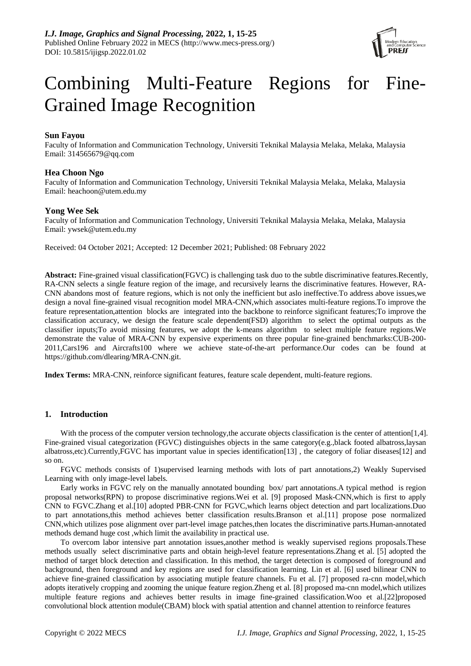

# Combining Multi-Feature Regions for Fine-Grained Image Recognition

# **Sun Fayou**

Faculty of Information and Communication Technology, Universiti Teknikal Malaysia Melaka, Melaka, Malaysia Email: [314565679@qq.com](mailto:314565679@qq.com)

# **Hea Choon Ngo**

Faculty of Information and Communication Technology, Universiti Teknikal Malaysia Melaka, Melaka, Malaysia Email: heachoon@utem.edu.my

# **Yong Wee Sek**

Faculty of Information and Communication Technology, Universiti Teknikal Malaysia Melaka, Melaka, Malaysia Email: [ywsek@utem.edu.my](mailto:ywsek@utem.edu.my)

Received: 04 October 2021; Accepted: 12 December 2021; Published: 08 February 2022

**Abstract:** Fine-grained visual classification(FGVC) is challenging task duo to the subtle discriminative features.Recently, RA-CNN selects a single feature region of the image, and recursively learns the discriminative features. However, RA-CNN abandons most of feature regions, which is not only the inefficient but aslo ineffective.To address above issues,we design a noval fine-grained visual recognition model MRA-CNN,which associates multi-feature regions.To improve the feature representation,attention blocks are integrated into the backbone to reinforce significant features;To improve the classification accuracy, we design the feature scale dependent(FSD) algorithm to select the optimal outputs as the classifier inputs;To avoid missing features, we adopt the k-means algorithm to select multiple feature regions.We demonstrate the value of MRA-CNN by expensive experiments on three popular fine-grained benchmarks:CUB-200- 2011,Cars196 and Aircrafts100 where we achieve state-of-the-art performance.Our codes can be found at [https://github.com/dlearing/MRA-CNN.git.](https://github.com/dlearing/MRA-CNN.git)

**Index Terms:** MRA-CNN, reinforce significant features, feature scale dependent, multi-feature regions.

# **1. Introduction**

With the process of the computer version technology, the accurate objects classification is the center of attention[1,4]. Fine-grained visual categorization (FGVC) distinguishes objects in the same category(e.g.,black footed albatross,laysan albatross,etc).Currently,FGVC has important value in species identificatio[n\[13\]](#page-9-0) , the category of foliar disease[s\[12\]](#page-9-1) and so on.

FGVC methods consists of 1)supervised learning methods with lots of part annotations,2) Weakly Supervised Learning with only image-level labels.

Early works in FGVC rely on the manually annotated bounding box/ part annotations.A typical method is region proposal networks(RPN) to propose discriminative regions.Wei et al. [\[9\]](#page-9-2) proposed Mask-CNN,which is first to apply CNN to FGVC.Zhang et al[.\[10\]](#page-9-3) adopted PBR-CNN for FGVC,which learns object detection and part localizations.Duo to part annotations,this method achieves better classification results.Branson et a[l.\[11\]](#page-9-4) propose pose normalized CNN,which utilizes pose alignment over part-level image patches,then locates the discriminative parts.Human-annotated methods demand huge cost ,which limit the availability in practical use.

To overcom labor intensive part annotation issues,another method is weakly supervised regions proposals.These methods usually select discriminative parts and obtain heigh-level feature representations.Zhang et al. [5] adopted the method of target block detection and classification. In this method, the target detection is composed of foreground and background, then foreground and key regions are used for classification learning. Lin et al. [6] used bilinear CNN to achieve fine-grained classification by associating mutiple feature channels. Fu et al. [7] proposed ra-cnn model,which adopts iteratively cropping and zooming the unique feature region.Zheng et al. [8] proposed ma-cnn model,which utilizes multiple feature regions and achieves better results in image fine-grained classification.Woo et al[.\[22\]p](#page-9-5)roposed convolutional block attention module(CBAM) block with spatial attention and channel attention to reinforce features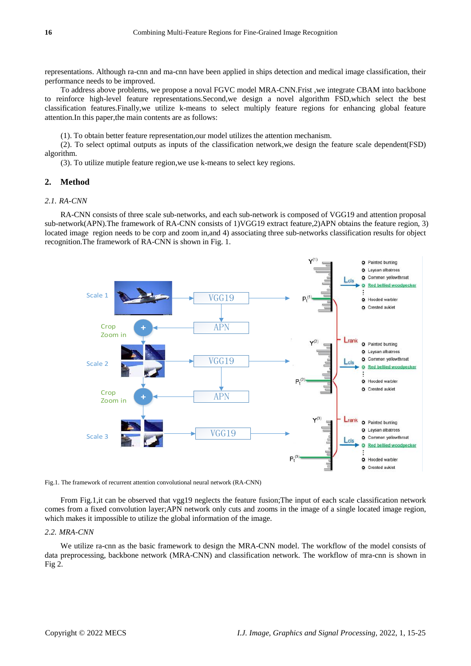representations. Although ra-cnn and ma-cnn have been applied in ships detection and medical image classification, their performance needs to be improved.

To address above problems, we propose a noval FGVC model MRA-CNN.Frist ,we integrate CBAM into backbone to reinforce high-level feature representations.Second,we design a novel algorithm FSD,which select the best classification features.Finally,we utilize k-means to select multiply feature regions for enhancing global feature attention.In this paper,the main contents are as follows:

(1). To obtain better feature representation,our model utilizes the attention mechanism.

(2). To select optimal outputs as inputs of the classification network,we design the feature scale dependent(FSD) algorithm.

(3). To utilize mutiple feature region,we use k-means to select key regions.

## **2. Method**

#### *2.1. RA-CNN*

RA-CNN consists of three scale sub-networks, and each sub-network is composed of VGG19 and attention proposal sub-network(APN).The framework of RA-CNN consists of 1)VGG19 extract feature,2)APN obtains the feature region, 3) located image region needs to be corp and zoom in,and 4) associating three sub-networks classification results for object recognition.The framework of RA-CNN is shown in Fig. 1.





From Fig.1,it can be observed that vgg19 neglects the feature fusion;The input of each scale classification network comes from a fixed convolution layer;APN network only cuts and zooms in the image of a single located image region, which makes it impossible to utilize the global information of the image.

#### *2.2. MRA-CNN*

We utilize ra-cnn as the basic framework to design the MRA-CNN model. The workflow of the model consists of data preprocessing, backbone network (MRA-CNN) and classification network. The workflow of mra-cnn is shown in Fig 2.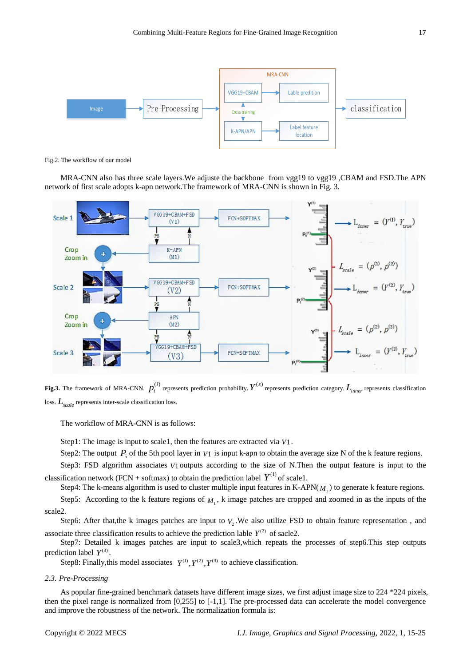

Fig.2. The workflow of our model

MRA-CNN also has three scale layers.We adjuste the backbone from vgg19 to vgg19 ,CBAM and FSD.The APN network of first scale adopts k-apn network.The framework of MRA-CNN is shown in Fig. 3.



**Fig.3.** The framework of MRA-CNN.  $p_t^{(i)}$  represents prediction probability.  $Y^{(s)}$  represents prediction category.  $L_{inner}$  represents classification loss. *Lscale* represents inter-scale classification loss.

The workflow of MRA-CNN is as follows:

Step1: The image is input to scale1, then the features are extracted via *V*1.

Step2: The output  $P_5$  of the 5th pool layer in  $V1$  is input k-apn to obtain the average size N of the k feature regions.

Step3: FSD algorithm associates  $V1$  outputs according to the size of N.Then the output feature is input to the classification network (FCN + softmax) to obtain the prediction label  $Y^{(1)}$  of scale1.

Step4: The k-means algorithm is used to cluster multiple input features in  $K-APN(M_1)$  to generate k feature regions.

Step5: According to the k feature regions of  $M<sub>1</sub>$ , k image patches are cropped and zoomed in as the inputs of the scale2.

Step6: After that, the k images patches are input to  $V_2$ . We also utilize FSD to obtain feature representation, and associate three classification results to achieve the prediction lable  $Y^{(2)}$  of sacle2.

Step7: Detailed k images patches are input to scale3,which repeats the processes of step6.This step outputs prediction label  $Y^{(3)}$ .

Step8: Finally, this model associates  $Y^{(1)}$ ,  $Y^{(2)}$ ,  $Y^{(3)}$  to achieve classification.

#### *2.3. Pre-Processing*

As popular fine-grained benchmark datasets have different image sizes, we first adjust image size to 224 \*224 pixels, then the pixel range is normalized from [0,255] to [-1,1]. The pre-processed data can accelerate the model convergence and improve the robustness of the network. The normalization formula is: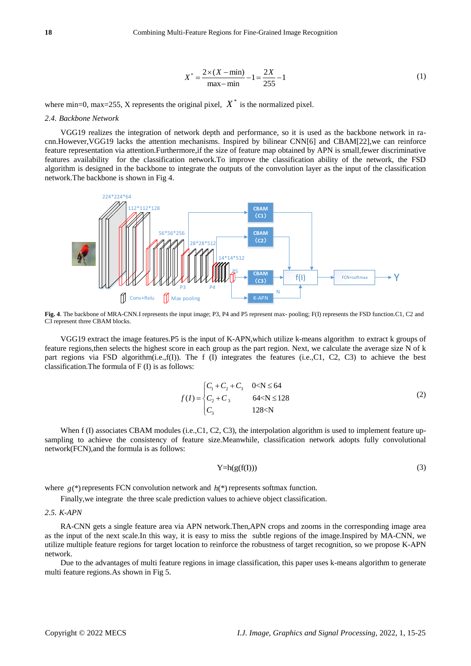$$
X^* = \frac{2 \times (X - \min)}{\max - \min} - 1 = \frac{2X}{255} - 1
$$
 (1)

where min=0, max=255, X represents the original pixel,  $X^*$  is the normalized pixel.

#### *2.4. Backbone Network*

VGG19 realizes the integration of network depth and performance, so it is used as the backbone network in racnn.However,VGG19 lacks the attention mechanisms. Inspired by bilinear CN[N\[6\]](#page-8-0) and CBA[M\[22\],](#page-9-5)we can reinforce feature representation via attention.Furthermore,if the size of feature map obtained by APN is small,fewer discriminative features availability for the classification network.To improve the classification ability of the network, the FSD algorithm is designed in the backbone to integrate the outputs of the convolution layer as the input of the classification network.The backbone is shown in Fig 4.



**Fig. 4**. The backbone of MRA-CNN.I represents the input image; P3, P4 and P5 represent max- pooling; F(I) represents the FSD function.C1, C2 and C3 represent three CBAM blocks.

VGG19 extract the image features.P5 is the input of K-APN,which utilize k-means algorithm to extract k groups of feature regions,then selects the highest score in each group as the part region. Next, we calculate the average size N of k part regions via FSD algorithm(i.e.,f(I)). The f (I) integrates the features (i.e.,C1, C2, C3) to achieve the best classification.The formula of F (I) is as follows:

$$
f(I) = \begin{cases} C_1 + C_2 + C_3 & 0 < N \le 64 \\ C_2 + C_3 & 64 < N \le 128 \\ C_3 & 128 < N \end{cases} \tag{2}
$$

When f (I) associates CBAM modules (i.e.,C1, C2, C3), the interpolation algorithm is used to implement feature upsampling to achieve the consistency of feature size.Meanwhile, classification network adopts fully convolutional network(FCN),and the formula is as follows:

$$
Y=h(g(f(I)))\tag{3}
$$

where  $g(*)$  represents FCN convolution network and  $h(*)$  represents softmax function.

Finally,we integrate the three scale prediction values to achieve object classification.

#### *2.5. K-APN*

RA-CNN gets a single feature area via APN network.Then,APN crops and zooms in the corresponding image area as the input of the next scale.In this way, it is easy to miss the subtle regions of the image.Inspired by MA-CNN, we utilize multiple feature regions for target location to reinforce the robustness of target recognition, so we propose K-APN network.

Due to the advantages of multi feature regions in image classification, this paper uses k-means algorithm to generate multi feature regions.As shown in Fig 5.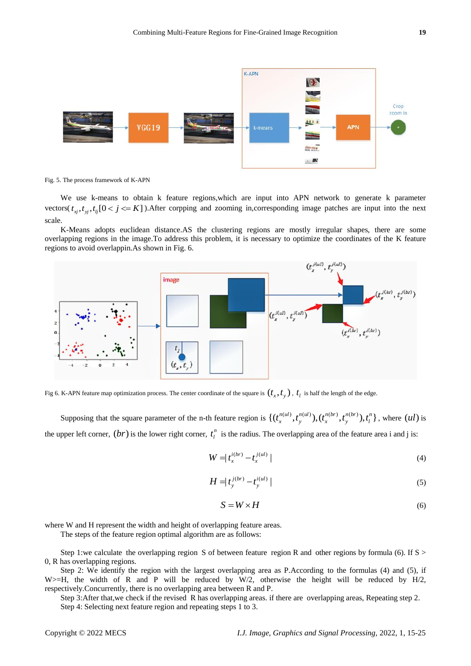

Fig. 5. The process framework of K-APN

We use k-means to obtain k feature regions, which are input into APN network to generate k parameter vectors( $t_{xj}$ , $t_{yj}$ , $t_{ij}$ [0 <  $j$  <= K]). After corpping and zooming in, corresponding image patches are input into the next scale.

K-Means adopts euclidean distance.AS the clustering regions are mostly irregular shapes, there are some overlapping regions in the image.To address this problem, it is necessary to optimize the coordinates of the K feature regions to avoid overlappin.As shown in Fig. 6.



Fig 6. K-APN feature map optimization process. The center coordinate of the square is  $(t_x, t_y)$ ,  $t_l$  is half the length of the edge.

Supposing that the square parameter of the n-th feature region is  $\{(t_x^{n(ul)}, t_y^{n(ul)}), (t_x^{n(br)}, t_y^{n(br)}), t_l^n\}$ , where  $(ul)$  is the upper left corner,  $(br)$  is the lower right corner,  $t_l^n$  $t_l^n$  is the radius. The overlapping area of the feature area i and j is:

$$
W = |t_x^{i(br)} - t_x^{j(ul)}|
$$
\n<sup>(4)</sup>

$$
H = |t_{y}^{j(br)} - t_{y}^{i(u)}|
$$
 (5)

$$
S = W \times H \tag{6}
$$

where W and H represent the width and height of overlapping feature areas.

The steps of the feature region optimal algorithm are as follows:

Step 1:we calculate the overlapping region S of between feature region R and other regions by formula (6). If  $S >$ 0, R has overlapping regions.

Step 2: We identify the region with the largest overlapping area as P.According to the formulas (4) and (5), if W $>=$ H, the width of R and P will be reduced by W $/2$ , otherwise the height will be reduced by H $/2$ , respectively.Concurrently, there is no overlapping area between R and P.

Step 3:After that,we check if the revised R has overlapping areas. if there are overlapping areas, Repeating step 2. Step 4: Selecting next feature region and repeating steps 1 to 3.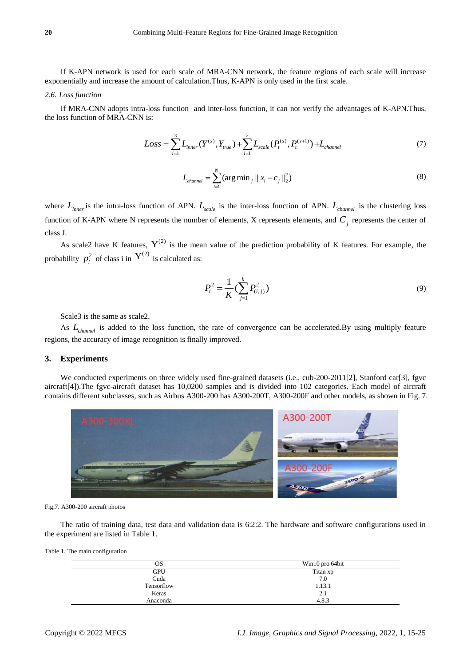If K-APN network is used for each scale of MRA-CNN network, the feature regions of each scale will increase exponentially and increase the amount of calculation.Thus, K-APN is only used in the first scale.

#### *2.6. Loss function*

the loss function of MRA-CNN is:

If MRA-CNN adopts intra-loss function and inter-loss function, it can not verify the advantages of K-APN. Thus,   
poss function of MRA-CNN is:  

$$
Loss = \sum_{i=1}^{3} L_{inner}(Y^{(s)}, Y_{true}) + \sum_{i=1}^{2} L_{scale}(P_t^{(s)}, P_t^{(s+1)}) + L_{channel}
$$
(7)

$$
L_{channel} = \sum_{i=1}^{N} (\arg \min_{j} ||x_i - c_j||_2^2)
$$
 (8)

where  $L_{inner}$  is the intra-loss function of APN.  $L_{scale}$  is the inter-loss function of APN.  $L_{channel}$  is the clustering loss function of K-APN where N represents the number of elements, X represents elements, and *Cj* represents the center of class J.

As scale2 have K features,  $Y^{(2)}$  is the mean value of the prediction probability of K features. For example, the probability  $p_i^2$  of class i in  $Y^{(2)}$  is calculated as:

$$
P_i^2 = \frac{1}{K} \left( \sum_{j=1}^k P_{(i,j)}^2 \right)
$$
 (9)

Scale3 is the same as scale2.

As *Lchannel* is added to the loss function, the rate of convergence can be accelerated.By using multiply feature regions, the accuracy of image recognition is finally improved.

## **3. Experiments**

We conducted experiments on three widely used fine-grained datasets (i.e., cub-200-201[1\[2\],](#page-8-1) Stanford ca[r\[3\],](#page-8-2) fgvc aircraf[t\[4\]\)](#page-8-3).The fgvc-aircraft dataset has 10,0200 samples and is divided into 102 categories. Each model of aircraft contains different subclasses, such as Airbus A300-200 has A300-200T, A300-200F and other models, as shown in Fig. 7.



Fig.7. A300-200 aircraft photos

The ratio of training data, test data and validation data is 6:2:2. The hardware and software configurations used in the experiment are listed in Table 1.

Table 1. The main configuration

| OS         | Win10 pro 64bit |
|------------|-----------------|
| <b>GPU</b> | Titan xp        |
| Cuda       | 7.0             |
| Tensorflow | 1.13.1          |
| Keras      | 2.1             |
| Anaconda   | 4.8.3           |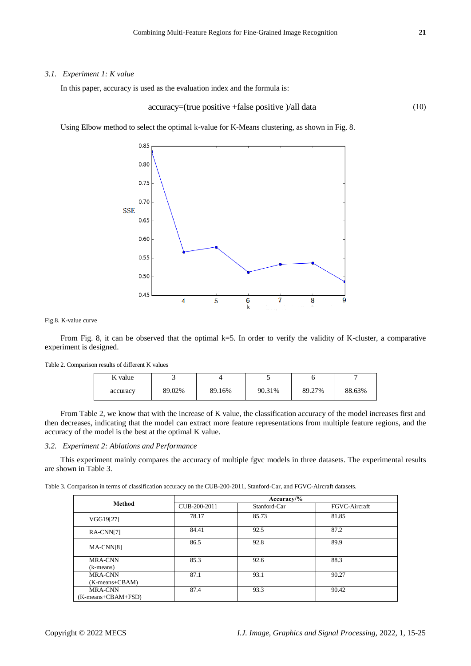## *3.1. Experiment 1: K value*

In this paper, accuracy is used as the evaluation index and the formula is:

$$
accuracy = (true positive + false positive) / all data \tag{10}
$$

Using Elbow method to select the optimal k-value for K-Means clustering, as shown in Fig. 8.



Fig.8. K-value curve

From Fig. 8, it can be observed that the optimal  $k=5$ . In order to verify the validity of K-cluster, a comparative experiment is designed.

| K value  |        |        |        |        |        |
|----------|--------|--------|--------|--------|--------|
| accuracy | 89.02% | 89.16% | 90.31% | 89.27% | 88.63% |

From Table 2, we know that with the increase of K value, the classification accuracy of the model increases first and then decreases, indicating that the model can extract more feature representations from multiple feature regions, and the accuracy of the model is the best at the optimal K value.

# *3.2. Experiment 2: Ablations and Performance*

Table 2. Comparison results of different K values

This experiment mainly compares the accuracy of multiple fgvc models in three datasets. The experimental results are shown in Table 3.

| Table 3. Comparison in terms of classification accuracy on the CUB-200-2011. Stanford-Car, and FGVC-Aircraft datasets. |  |
|------------------------------------------------------------------------------------------------------------------------|--|
|------------------------------------------------------------------------------------------------------------------------|--|

|                                        | $Accuracy\frac{9}{6}$ |              |               |  |
|----------------------------------------|-----------------------|--------------|---------------|--|
| <b>Method</b>                          | CUB-200-2011          | Stanford-Car | FGVC-Aircraft |  |
| VGG19[27]                              | 78.17                 | 85.73        | 81.85         |  |
| RA-CNN[7]                              | 84.41                 | 92.5         | 87.2          |  |
| MA-CNN[8]                              | 86.5                  | 92.8         | 89.9          |  |
| <b>MRA-CNN</b><br>(k-means)            | 85.3                  | 92.6         | 88.3          |  |
| <b>MRA-CNN</b><br>(K-means+CBAM)       | 87.1                  | 93.1         | 90.27         |  |
| <b>MRA-CNN</b><br>$(K-means+CBAM+FSD)$ | 87.4                  | 93.3         | 90.42         |  |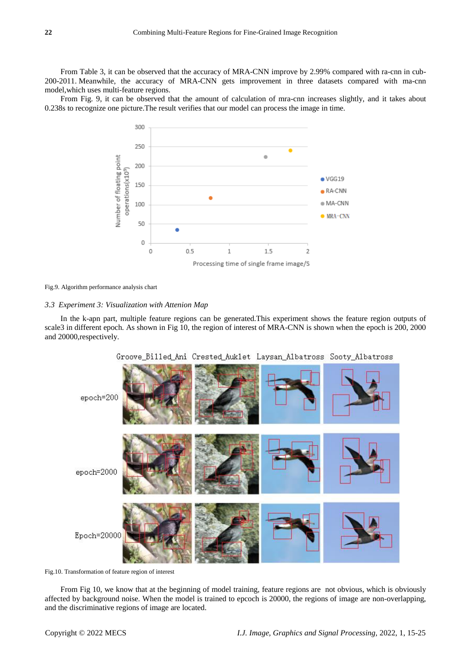From Table 3, it can be observed that the accuracy of MRA-CNN improve by 2.99% compared with ra-cnn in cub-200-2011. Meanwhile, the accuracy of MRA-CNN gets improvement in three datasets compared with ma-cnn model,which uses multi-feature regions.

From Fig. 9, it can be observed that the amount of calculation of mra-cnn increases slightly, and it takes about 0.238s to recognize one picture.The result verifies that our model can process the image in time.



Fig.9. Algorithm performance analysis chart

#### *3.3 Experiment 3: Visualization with Attenion Map*

In the k-apn part, multiple feature regions can be generated.This experiment shows the feature region outputs of scale3 in different epoch. As shown in Fig 10, the region of interest of MRA-CNN is shown when the epoch is 200, 2000 and 20000,respectively.





Fig.10. Transformation of feature region of interest

From Fig 10, we know that at the beginning of model training, feature regions are not obvious, which is obviously affected by background noise. When the model is trained to epcoch is 20000, the regions of image are non-overlapping, and the discriminative regions of image are located.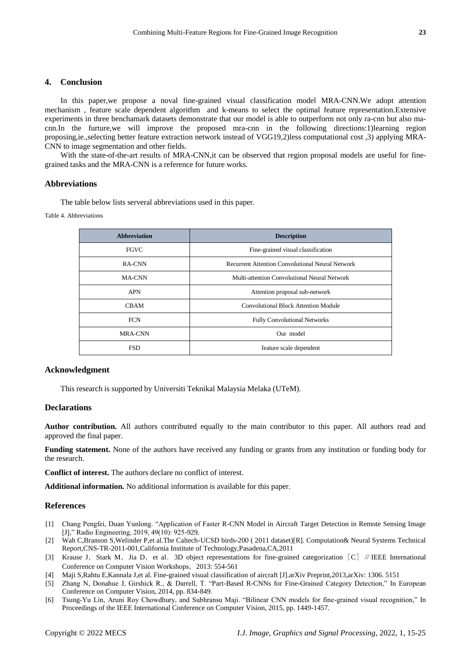## **4. Conclusion**

In this paper,we propose a noval fine-grained visual classification model MRA-CNN.We adopt attention mechanism , feature scale dependent algorithm and k-means to select the optimal feature representation.Extensive experiments in three benchamark datasets demonstrate that our model is able to outperform not only ra-cnn but also macnn.In the furture,we will improve the proposed mra-cnn in the following directions:1)learning region proposing,ie.,selecting better feature extraction network instead of VGG19,2)less computational cost ,3) applying MRA-CNN to image segmentation and other fields.

With the state-of-the-art results of MRA-CNN, it can be observed that region proposal models are useful for finegrained tasks and the MRA-CNN is a reference for future works.

#### **Abbreviations**

The table below lists serveral abbreviations used in this paper.

Table 4. Abbreviations

| <b>Abbreviation</b> | <b>Description</b>                                      |  |
|---------------------|---------------------------------------------------------|--|
| <b>FGVC</b>         | Fine-grained visual classification                      |  |
| RA-CNN              | <b>Recurrent Attention Convolutional Neural Network</b> |  |
| <b>MA-CNN</b>       | Multi-attention Convolutional Neural Network            |  |
| <b>APN</b>          | Attention proposal sub-network                          |  |
| <b>CBAM</b>         | <b>Convolutional Block Attention Module</b>             |  |
| <b>FCN</b>          | <b>Fully Convolutional Networks</b>                     |  |
| MRA-CNN             | Our model                                               |  |
| <b>FSD</b>          | feature scale dependent                                 |  |

#### **Acknowledgment**

This research is supported by Universiti Teknikal Malaysia Melaka (UTeM).

## **Declarations**

**Author contribution.** All authors contributed equally to the main contributor to this paper. All authors read and approved the final paper.

**Funding statement.** None of the authors have received any funding or grants from any institution or funding body for the research.

**Conflict of interest.** The authors declare no conflict of interest.

**Additional information.** No additional information is available for this paper.

### **References**

- [1] Chang Pengfei, Duan Yunlong. "Application of Faster R-CNN Model in Aircraft Target Detection in Remote Sensing Image [J]," Radio Engineering, 2019, 49(10): 925-929.
- <span id="page-8-1"></span>[2] Wah C,Branson S,Welinder P,et al.The Caltech-UCSD birds-200 ( 2011 dataset)[R]. Computation& Neural Systems Technical Report,CNS-TR-2011-001,California Institute of Technology,Pasadena,CA,2011
- <span id="page-8-2"></span>[3] Krause J, Stark M, Jia D, et al. 3D object representations for fine-grained categorization [C] // IEEE International Conference on Computer Vision Workshops,2013: 554-561
- <span id="page-8-3"></span>[4] Maji S,Rahtu E,Kannala J,et al. Fine-grained visual classification of aircraft [J].arXiv Preprint,2013,arXiv: 1306. 5151
- [5] Zhang N, Donahue J, Girshick R., & Darrell, T. "Part-Based R-CNNs for Fine-Grained Category Detection," In European Conference on Computer Vision, 2014, pp. 834-849.
- <span id="page-8-0"></span>[6] Tsung-Yu Lin, Aruni Roy Chowdhury, and Subhransu Maji. "Bilinear CNN models for fine-grained visual recognition," In Proceedings of the IEEE International Conference on Computer Vision, 2015, pp. 1449-1457.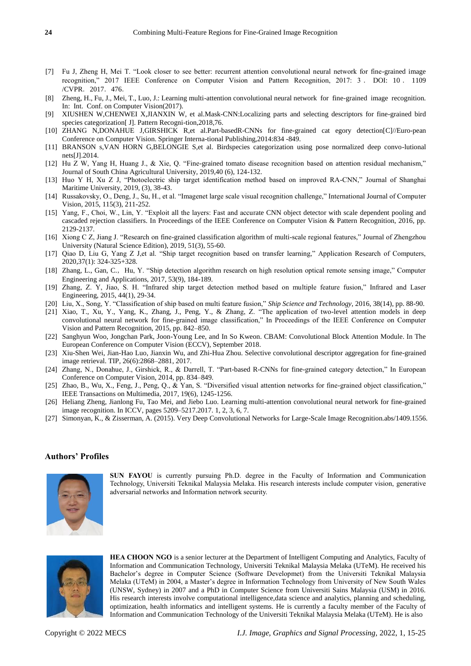- <span id="page-9-7"></span>[7] Fu J, Zheng H, Mei T. "Look closer to see better: recurrent attention convolutional neural network for fine-grained image recognition," 2017 IEEE Conference on Computer Vision and Pattern Recognition, 2017: 3 . DOI: 10 . 1109 /CVPR.2017.476.
- <span id="page-9-8"></span>[8] Zheng, H., Fu, J., Mei, T., Luo, J.: Learning multi-attention convolutional neural network for fine-grained image recognition. In: Int. Conf. on Computer Vision(2017).
- <span id="page-9-2"></span>[9] XIUSHEN W,CHENWEI X,JIANXIN W, et al.Mask-CNN:Localizing parts and selecting descriptors for fine-grained bird species categorization[ J]. Pattern Recogni-tion,2018,76.
- <span id="page-9-3"></span>[10] ZHANG N,DONAHUE J,GIRSHICK R,et al.Part-basedR-CNNs for fine-grained cat egory detection[C]//Euro-pean Conference on Computer Vision. Springer Interna-tional Publishing,2014:834 -849.
- <span id="page-9-4"></span>[11] BRANSON s,VAN HORN G,BELONGIE S,et al. Birdspecies categorization using pose normalized deep convo-lutional nets[J].2014.
- <span id="page-9-1"></span>[12] Hu Z W, Yang H, Huang J., & Xie, Q. "Fine-grained tomato disease recognition based on attention residual mechanism," Journal of South China Agricultural University, 2019,40 (6), 124-132.
- <span id="page-9-0"></span>[13] Huo Y H, Xu Z J, "Photoelectric ship target identification method based on improved RA-CNN," Journal of Shanghai Maritime University, 2019, (3), 38-43.
- [14] Russakovsky, O., Deng, J., Su, H., et al. "Imagenet large scale visual recognition challenge," International Journal of Computer Vision, 2015, 115(3), 211-252.
- [15] Yang, F., Choi, W., Lin, Y. "Exploit all the layers: Fast and accurate CNN object detector with scale dependent pooling and cascaded rejection classifiers. In Proceedings of the IEEE Conference on Computer Vision & Pattern Recognition, 2016, pp. 2129-2137.
- [16] Xiong C Z, Jiang J. "Research on fine-grained classification algorithm of multi-scale regional features," Journal of Zhengzhou University (Natural Science Edition), 2019, 51(3), 55-60.
- [17] Qiao D, Liu G, Yang Z J,et al. "Ship target recognition based on transfer learning," Application Research of Computers, 2020,37(1): 324-325+328.
- [18] Zhang, L., Gan, C.,Hu, Y. "Ship detection algorithm research on high resolution optical remote sensing image," Computer Engineering and Applications, 2017, 53(9), 184-189.
- [19] Zhang, Z. Y, Jiao, S. H. "Infrared ship target detection method based on multiple feature fusion," Infrared and Laser Engineering, 2015, 44(1), 29-34.
- [20] Liu, X., Song, Y. "Classification of ship based on multi feature fusion," *Ship Science and Technology*, 2016, 38(14), pp. 88-90.
- [21] Xiao, T., Xu, Y., Yang, K., Zhang, J., Peng, Y., & Zhang, Z. "The application of two-level attention models in deep convolutional neural network for fine-grained image classification," In Proceedings of the IEEE Conference on Computer Vision and Pattern Recognition, 2015, pp. 842–850.
- <span id="page-9-5"></span>[22] Sanghyun Woo, Jongchan Park, Joon-Young Lee, and In So Kweon. CBAM: Convolutional Block Attention Module. In The European Conference on Computer Vision (ECCV), September 2018.
- [23] Xiu-Shen Wei, Jian-Hao Luo, Jianxin Wu, and Zhi-Hua Zhou. Selective convolutional descriptor aggregation for fine-grained image retrieval. TIP, 26(6):2868–2881, 2017.
- [24] Zhang, N., Donahue, J., Girshick, R., & Darrell, T. "Part-based R-CNNs for fine-grained category detection," In European Conference on Computer Vision, 2014, pp. 834–849.
- [25] Zhao, B., Wu, X., Feng, J., Peng, Q., & Yan, S. "Diversified visual attention networks for fine-grained object classification," IEEE Transactions on Multimedia, 2017, 19(6), 1245-1256.
- [26] Heliang Zheng, Jianlong Fu, Tao Mei, and Jiebo Luo. Learning multi-attention convolutional neural network for fine-grained image recognition. In ICCV, pages 5209–5217.2017. 1, 2, 3, 6, 7.
- <span id="page-9-6"></span>[27] Simonyan, K., & Zisserman, A. (2015). Very Deep Convolutional Networks for Large-Scale Image Recognition.abs/1409.1556.

## **Authors' Profiles**



**SUN FAYOU** is currently pursuing Ph.D. degree in the Faculty of Information and Communication Technology, Universiti Teknikal Malaysia Melaka. His research interests include computer vision, generative adversarial networks and Information network security.



**HEA CHOON NGO** is a senior lecturer at the Department of Intelligent Computing and Analytics, Faculty of Information and Communication Technology, Universiti Teknikal Malaysia Melaka (UTeM). He received his Bachelor's degree in Computer Science (Software Developmet) from the Universiti Teknikal Malaysia Melaka (UTeM) in 2004, a Master's degree in Information Technology from University of New South Wales (UNSW, Sydney) in 2007 and a PhD in Computer Science from Universiti Sains Malaysia (USM) in 2016. His research interests involve computational intelligence,data science and analytics, planning and scheduling, optimization, health informatics and intelligent systems. He is currently a faculty member of the Faculty of Information and Communication Technology of the Universiti Teknikal Malaysia Melaka (UTeM). He is also